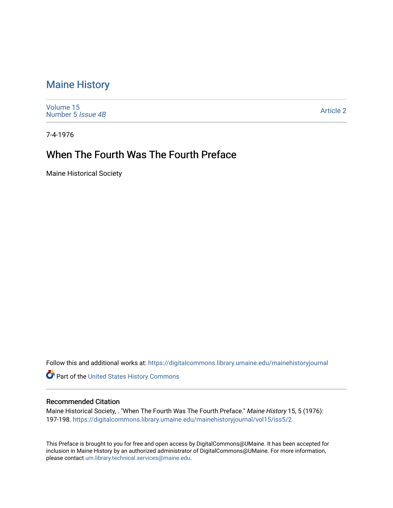## [Maine History](https://digitalcommons.library.umaine.edu/mainehistoryjournal)

[Volume 15](https://digitalcommons.library.umaine.edu/mainehistoryjournal/vol15) [Number 5](https://digitalcommons.library.umaine.edu/mainehistoryjournal/vol15/iss5) Issue 4B

[Article 2](https://digitalcommons.library.umaine.edu/mainehistoryjournal/vol15/iss5/2) 

7-4-1976

## When The Fourth Was The Fourth Preface

Maine Historical Society

Follow this and additional works at: [https://digitalcommons.library.umaine.edu/mainehistoryjournal](https://digitalcommons.library.umaine.edu/mainehistoryjournal?utm_source=digitalcommons.library.umaine.edu%2Fmainehistoryjournal%2Fvol15%2Fiss5%2F2&utm_medium=PDF&utm_campaign=PDFCoverPages) 

Part of the [United States History Commons](http://network.bepress.com/hgg/discipline/495?utm_source=digitalcommons.library.umaine.edu%2Fmainehistoryjournal%2Fvol15%2Fiss5%2F2&utm_medium=PDF&utm_campaign=PDFCoverPages) 

#### Recommended Citation

Maine Historical Society, . "When The Fourth Was The Fourth Preface." Maine History 15, 5 (1976): 197-198. [https://digitalcommons.library.umaine.edu/mainehistoryjournal/vol15/iss5/2](https://digitalcommons.library.umaine.edu/mainehistoryjournal/vol15/iss5/2?utm_source=digitalcommons.library.umaine.edu%2Fmainehistoryjournal%2Fvol15%2Fiss5%2F2&utm_medium=PDF&utm_campaign=PDFCoverPages) 

This Preface is brought to you for free and open access by DigitalCommons@UMaine. It has been accepted for inclusion in Maine History by an authorized administrator of DigitalCommons@UMaine. For more information, please contact [um.library.technical.services@maine.edu.](mailto:um.library.technical.services@maine.edu)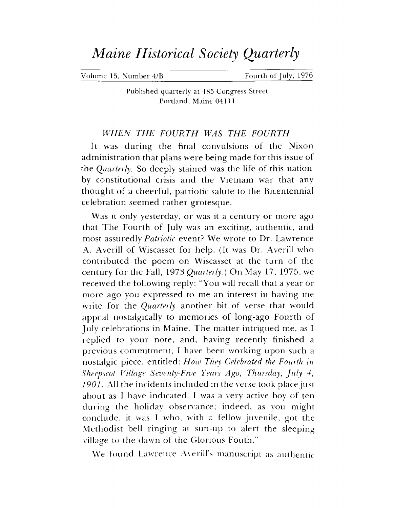# *Maine Historical Society Quarterly*

Volume 15, Number 4/B Fourth of July, 1976

Published quarterly at 485 Congress Street Portland, Maine 04111

### *WHEN THE FOURTH WAS THE FOURTH*

It was during the final convulsions of the Nixon administration that plans were being made for this issue of the *Quarterly.* So deeply stained was the life of this nation by constitutional crisis and the Vietnam war that any thought of a cheerful, patriotic salute to the Bicentennial celebration seemed rather grotesque.

Was it only yesterday, or was it a century or more ago that The Fourth of July was an exciting, authentic, and most assuredly *Patriotic* event? We wrote to Dr. Lawrence A. Averill of Wiscasset for help. (It was Dr. Averill who contributed the poem on Wiscasset at the turn of the century for the Fall, 1973 *Quarterly.)* On May 17, 1975, we received the following reply: "You will recall that a year or more ago you expressed to me an interest in having me write for the *Quarterly* another bit of verse that would appeal nostalgically to memories of long-ago Fourth of July celebrations in Maine. The matter intrigued me, as <sup>I</sup> replied to your note, and, having recently finished a previous commitment, I have been working upon such a nostalgic piece, entitled: *How They Celebrated the Fourth in Sheepscot Village Seventy-Five Years Ago, Thursday, July 4, 1901.* All the incidents included in the verse took place just about as <sup>I</sup> have indicated. <sup>I</sup> was a very active boy of ten during the holiday observance; indeed, as you might conclude, it was I who, with a fellow juvenile, got the Methodist bell ringing at sun-up to alert the sleeping village to the dawn of the Glorious Fouth."

We found Lawrence Averill'<sup>s</sup> manuscript as authentic